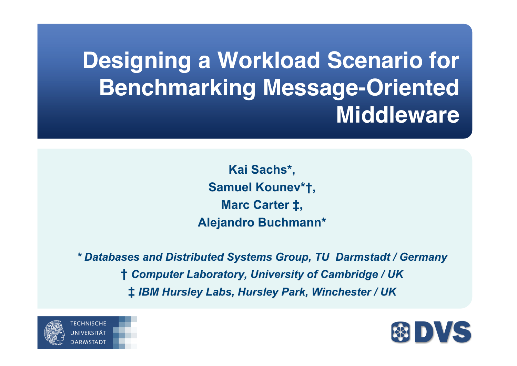## **Designing a Workload Scenario for Benchmarking Message-Oriented Middleware**

**Kai Sachs\* , Samuel Kounev\*†, Marc Carter ‡, Alejandro Buchmann\***

*\* Databases and Distributed Systems Group, TU Darmstadt / Germany \* Databases and Distributed Systems Group, TU Darmstadt / Germany* **†** *Computer Laboratory, University of Cambridge / UK omputer Laboratory,*  **‡** *IBM Hursley Labs, Hursley Park, Winchester / UK ark, Winchester / UK*



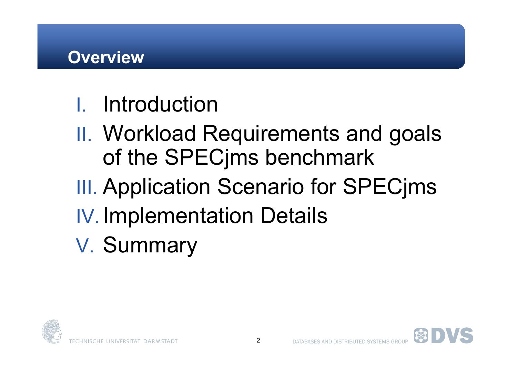- I. Introduction
- II. Workload Requirements and goals of the SPECjms benchmark
- **III. Application Scenario for SPECims**
- IV. Implementation Details
- V. Summary



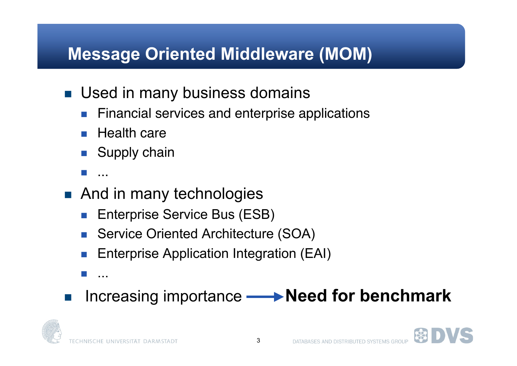#### **Message Oriented Middleware (MOM)**

- **Used in many business domains** 
	- **Financial services and enterprise applications**
	- **Health care**
	- **Supply chain**
	- ...
- And in many technologies
	- **Enterprise Service Bus (ESB)**
	- Service Oriented Architecture (SOA)
	- Enterprise Application Integration (EAI)
	- ...
- Increasing importance **← Need for benchmark**



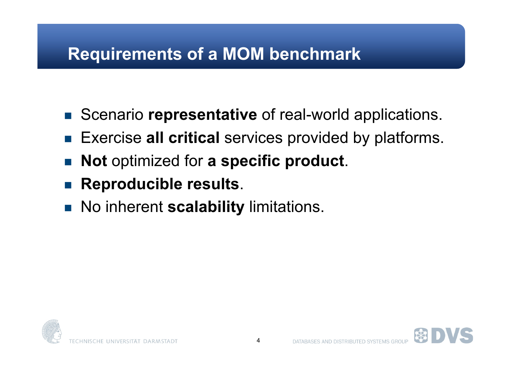#### **Requirements of a MOM benchmark**

- Scenario **representative** of real-world applications.
- Exercise all critical services provided by platforms.
- **Not** optimized for **a specific product**.
- **Reproducible results**.
- **No inherent scalability limitations.**



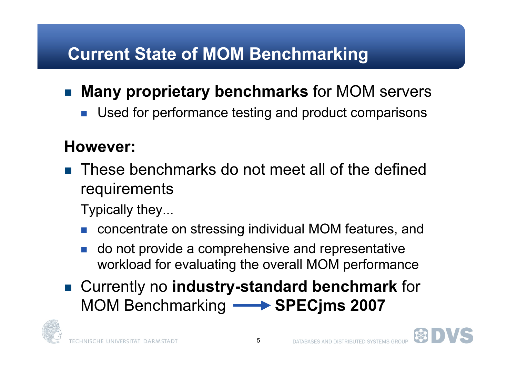#### **Current State of MOM Benchmarking**

- **Many proprietary benchmarks** for MOM servers
	- **Used for performance testing and product comparisons**

### **However:**

 These benchmarks do not meet all of the defined requirements

Typically they...

- concentrate on stressing individual MOM features, and
- do not provide a comprehensive and representative workload for evaluating the overall MOM performance
- Currently no **industry-standard benchmark** for **MOM Benchmarking <b>SPEC**jms 2007

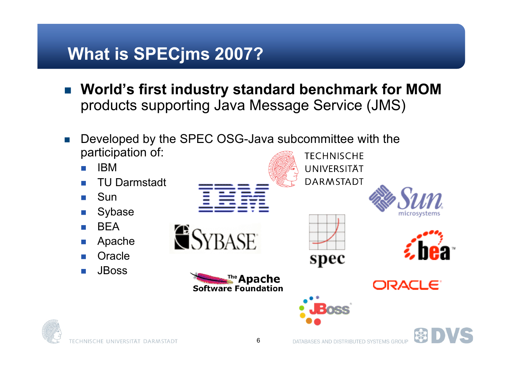#### **What is SPECjms 2007?**

- **World's first industry standard benchmark for MOM** products supporting Java Message Service (JMS)
- Developed by the SPEC OSG-Java subcommittee with the participation of: **TECHNISCHE**
- IBM UNIVERSITÄT **DARMSTADT**  TU Darmstadt Sun Sybase **BFA ESYBASE**  Apache **Oracle** spec JBoss™e Apache **ORACLE Software Foundation**

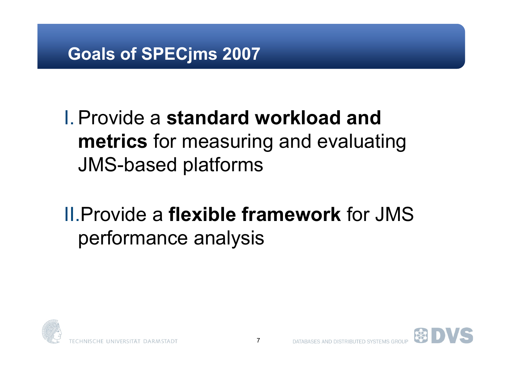#### **Goals of SPECjms 2007**

### I.Provide a **standard workload and metrics** for measuring and evaluating JMS-based platforms

### II.Provide a **flexible framework** for JMS performance analysis



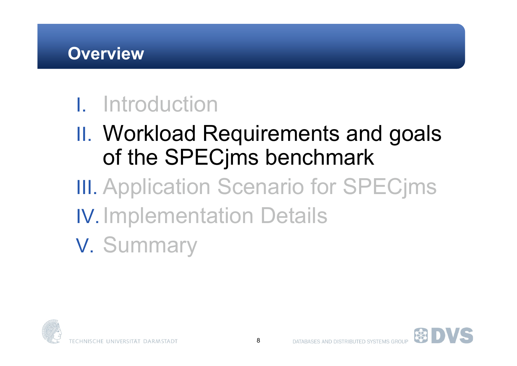## I. Introduction

- II. Workload Requirements and goals of the SPECjms benchmark
- **III. Application Scenario for SPECims** IV. Implementation Details
- V. Summary

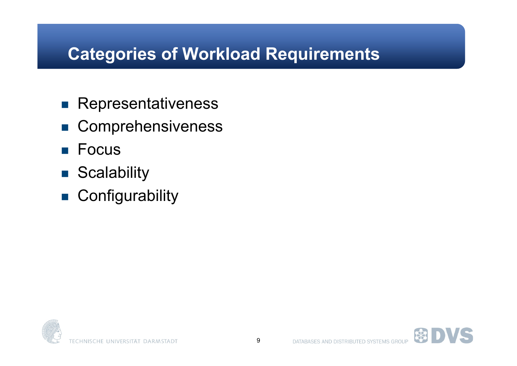#### **Categories of Workload Requirements**

- **Representativeness**
- Comprehensiveness
- **Focus**
- Scalability
- **Configurability**

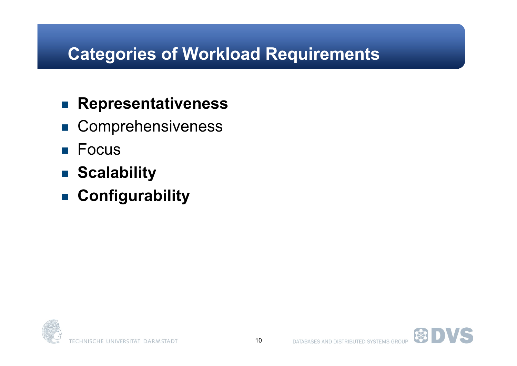#### **Categories of Workload Requirements**

#### **Representativeness**

- Comprehensiveness
- **Focus**
- **Scalability**
- **Configurability**

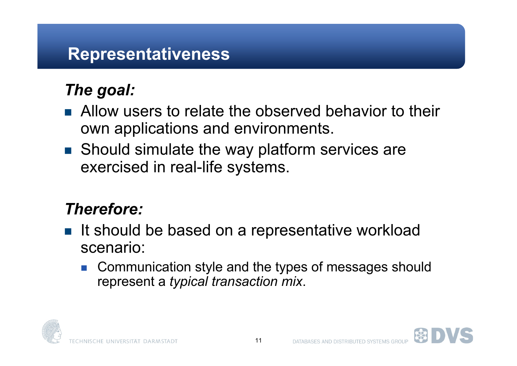#### **Representativeness**

#### *The goal:*

- Allow users to relate the observed behavior to their own applications and environments.
- Should simulate the way platform services are exercised in real-life systems.

#### *Therefore:*

- It should be based on a representative workload scenario:
	- Communication style and the types of messages should represent a *typical transaction mix*.



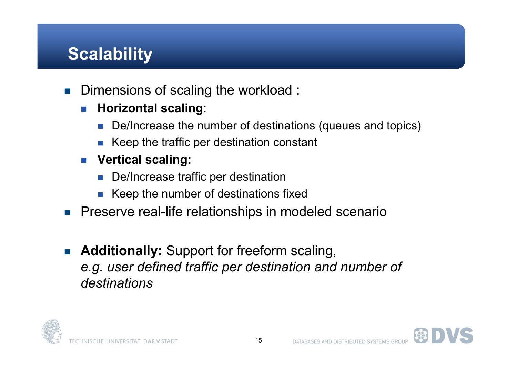#### **Scalability**

- Dimensions of scaling the workload :
	- **Horizontal scaling**:
		- De/Increase the number of destinations (queues and topics)
		- $\blacksquare$  Keep the traffic per destination constant
	- **Vertical scaling:**
		- De/Increase traffic per destination
		- Keep the number of destinations fixed
- **Preserve real-life relationships in modeled scenario**
- **Additionally:** Support for freeform scaling, *e.g. user defined traffic per destination and number of destinations*



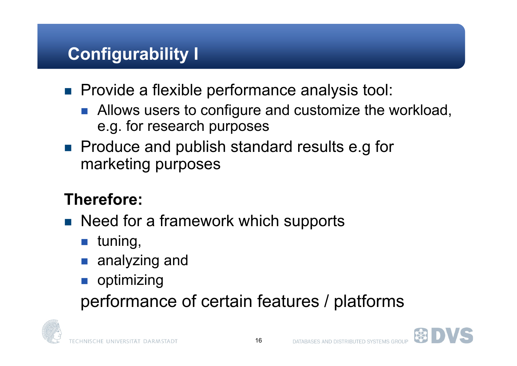#### **Configurability I**

- **Provide a flexible performance analysis tool:** 
	- **Allows users to configure and customize the workload,** e.g. for research purposes
- **Produce and publish standard results e.g for** marketing purposes

#### **Therefore:**

- Need for a framework which supports
	- $\blacksquare$  tuning,
	- **analyzing and**
	- **n** optimizing

performance of certain features / platforms



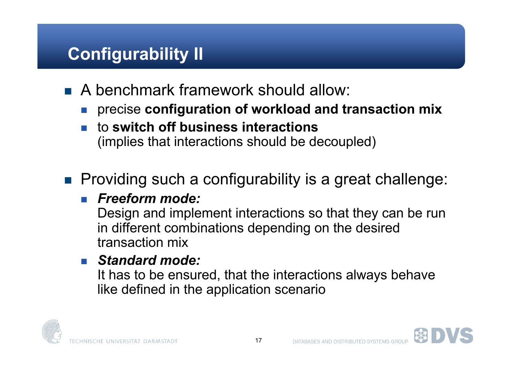#### **Configurability II**

- A benchmark framework should allow:
	- precise **configuration of workload and transaction mix**
	- to **switch off business interactions** (implies that interactions should be decoupled)

#### ■ Providing such a configurability is a great challenge:

#### *Freeform mode:*

Design and implement interactions so that they can be run in different combinations depending on the desired transaction mix

#### *Standard mode:*

It has to be ensured, that the interactions always behave like defined in the application scenario



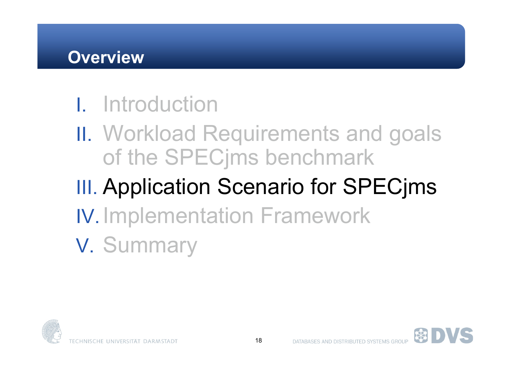#### **Overview**

### I. Introduction

II. Workload Requirements and goals of the SPECjms benchmark

## **III. Application Scenario for SPECjms**

- IV. Implementation Framework
- V. Summary

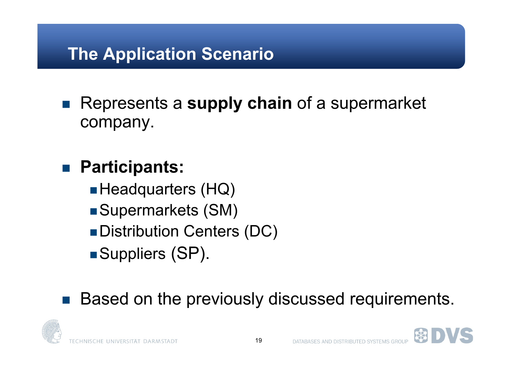#### **The Application Scenario**

■ Represents a supply chain of a supermarket company.

#### **Participants:**

- Headquarters (HQ)
- ■Supermarkets (SM)
- **Distribution Centers (DC)**
- ■Suppliers (SP).

### ■ Based on the previously discussed requirements.



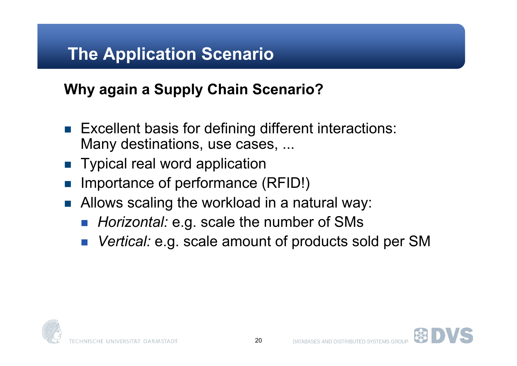#### **The Application Scenario**

#### **Why again a Supply Chain Scenario?**

- **Excellent basis for defining different interactions:** Many destinations, use cases, ...
- **Typical real word application**
- Importance of performance (RFID!)
- Allows scaling the workload in a natural way:
	- *Horizontal:* e.g. scale the number of SMs
	- *Vertical:* e.g. scale amount of products sold per SM

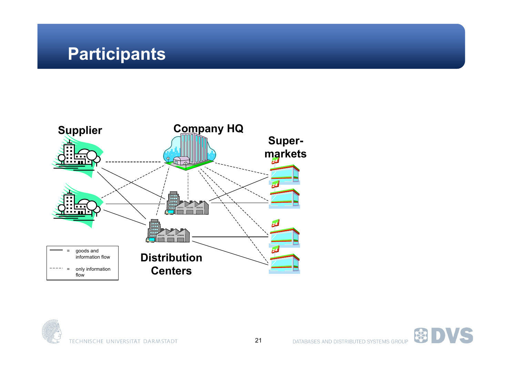#### **Participants**





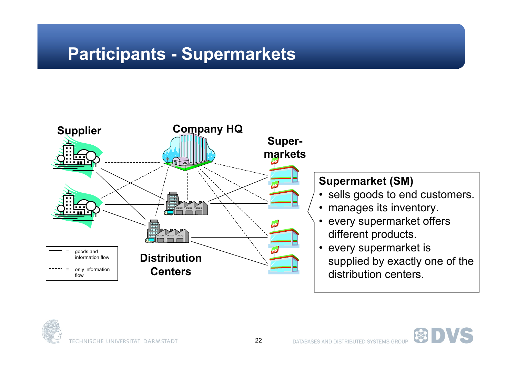#### **Participants - Supermarkets**



#### **Supermarket (SM)**

- sells goods to end customers.
- manages its inventory.
- every supermarket offers different products.
- every supermarket is supplied by exactly one of the distribution centers.

 $\mathbb{R}$ 

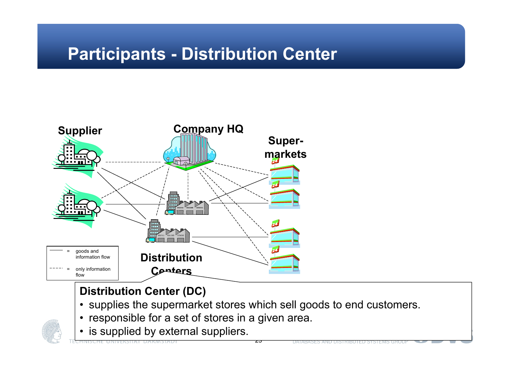#### **Participants - Distribution Center**



#### **Distribution Center (DC)**

• supplies the supermarket stores which sell goods to end customers.

zo

- responsible for a set of stores in a given area.
- is supplied by external suppliers.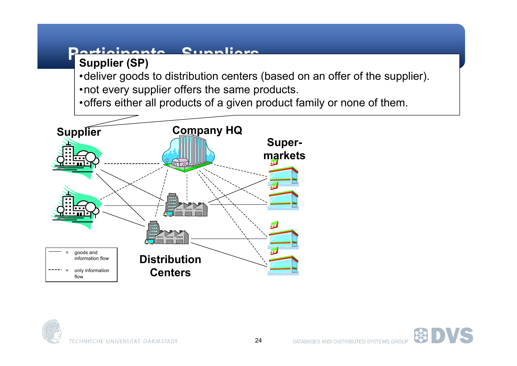#### **Participants - Suppliers Supplier (SP)**

•deliver goods to distribution centers (based on an offer of the supplier). •not every supplier offers the same products.

•offers either all products of a given product family or none of them.





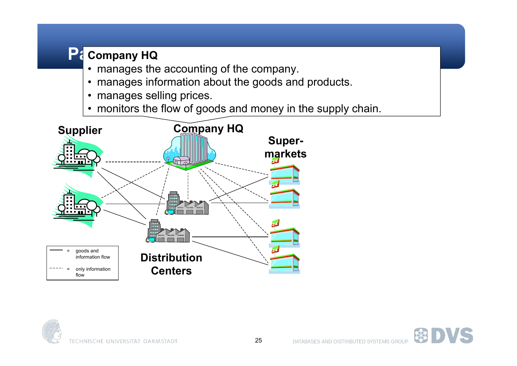#### **Participants HQ**

- manages the accounting of the company.
- manages information about the goods and products.
- manages selling prices.
- monitors the flow of goods and money in the supply chain.





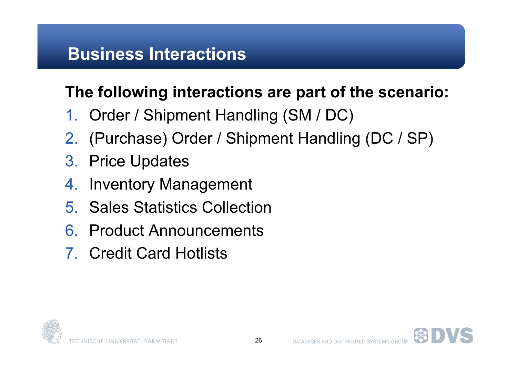#### **Business Interactions**

#### **The following interactions are part of the scenario:**

- 1. Order / Shipment Handling (SM / DC)
- 2. (Purchase) Order / Shipment Handling (DC / SP)
- 3. Price Updates
- 4. Inventory Management
- 5. Sales Statistics Collection
- 6. Product Announcements
- 7. Credit Card Hotlists



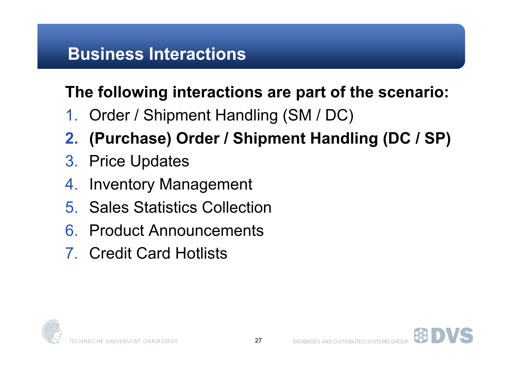#### **Business Interactions**

#### **The following interactions are part of the scenario:**

- 1. Order / Shipment Handling (SM / DC)
- **2. (Purchase) Order / Shipment Handling (DC / SP)**
- 3. Price Updates
- 4. Inventory Management
- 5. Sales Statistics Collection
- 6. Product Announcements
- 7. Credit Card Hotlists



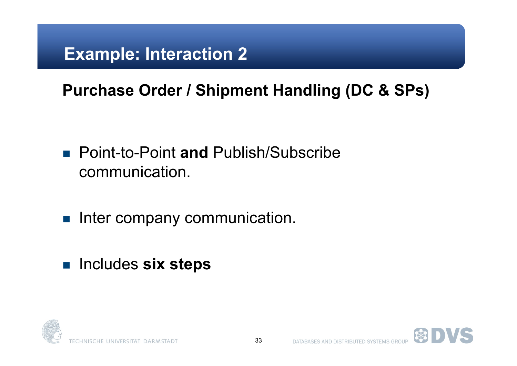#### **Example: Interaction 2**

#### **Purchase Order / Shipment Handling (DC & SPs)**

- Point-to-Point **and** Publish/Subscribe communication.
- **Inter company communication.**
- Includes **six steps**



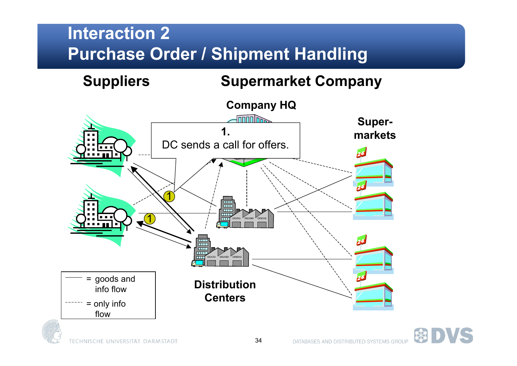**Suppliers Supermarket Company Company HQ**  $\sqrt{1000}$ **Super-1. markets** DC sends a call for offers.1  $\frac{1}{1000}$  $\overline{1}$ 1 **Tale** = goods and **Distribution** info flow **Centers** = only info flow



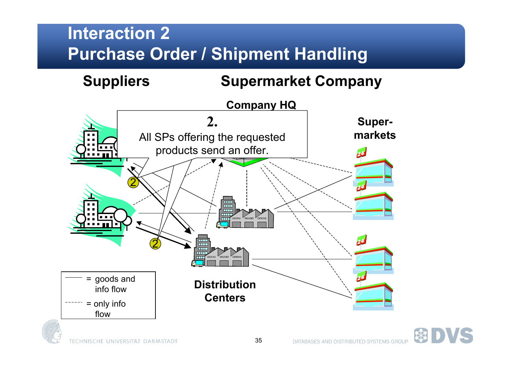**Suppliers Supermarket Company**



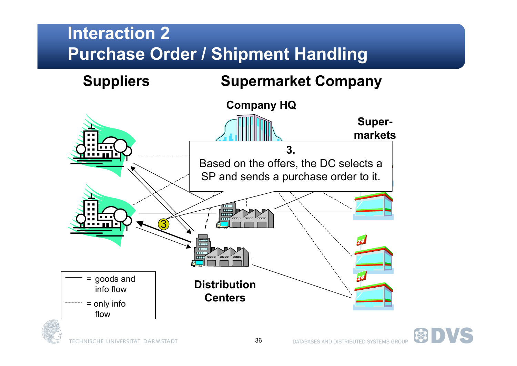



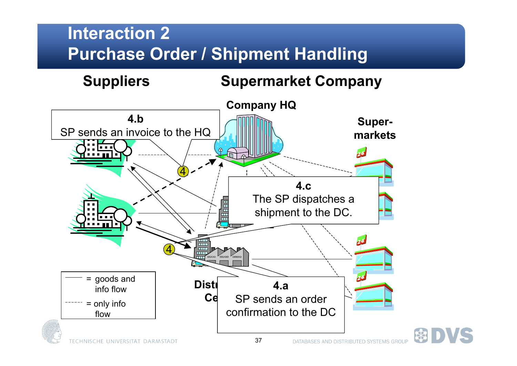**Suppliers Supermarket Company**

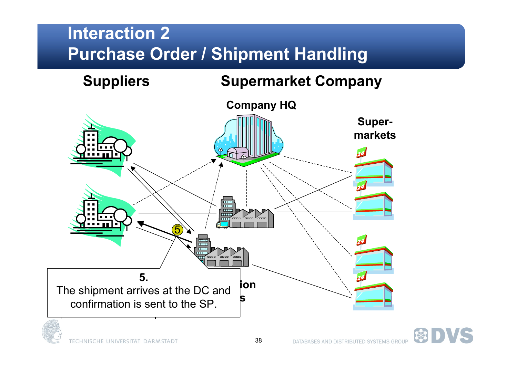

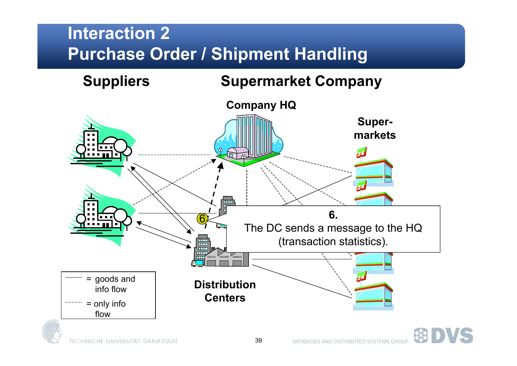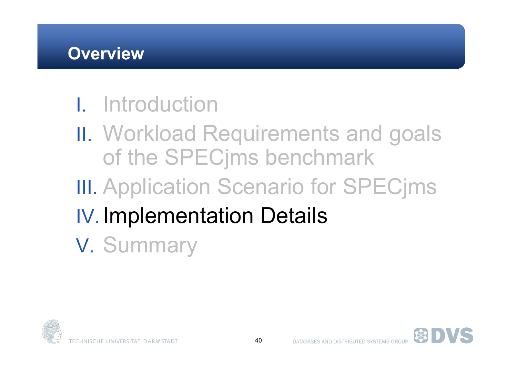### I. Introduction

- II. Workload Requirements and goals of the SPECjms benchmark
- **III. Application Scenario for SPECjms**
- IV. Implementation Details
- V. Summary



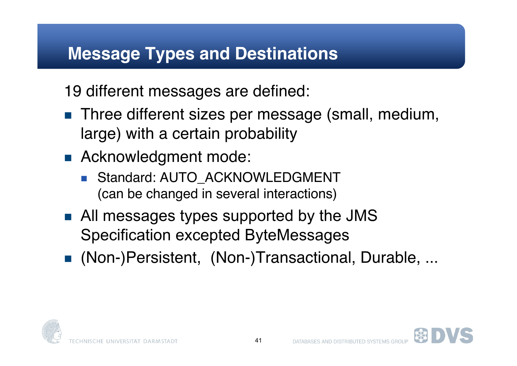#### **Message Types and Destinations**

19 different messages are defined:

- **Three different sizes per message (small, medium,** large) with a certain probability
- **Acknowledgment mode:** 
	- Standard: AUTO\_ACKNOWLEDGMENT (can be changed in several interactions)
- All messages types supported by the JMS Specification excepted ByteMessages
- (Non-)Persistent, (Non-)Transactional, Durable, ...



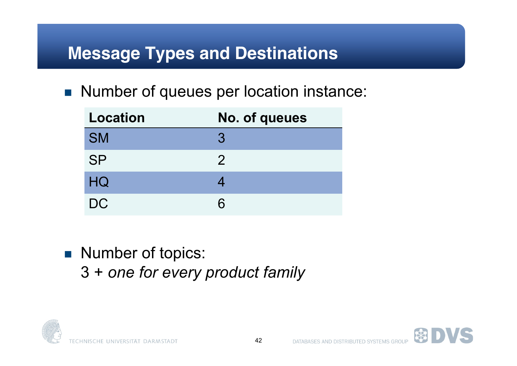#### **Message Types and Destinations**

■ Number of queues per location instance:

| <b>Location</b> | No. of queues |
|-----------------|---------------|
| <b>SM</b>       | 3             |
| <b>SP</b>       | $\mathcal{P}$ |
| HQ              |               |
| <b>DC</b>       |               |

Number of topics: 3 + *one for every product family*



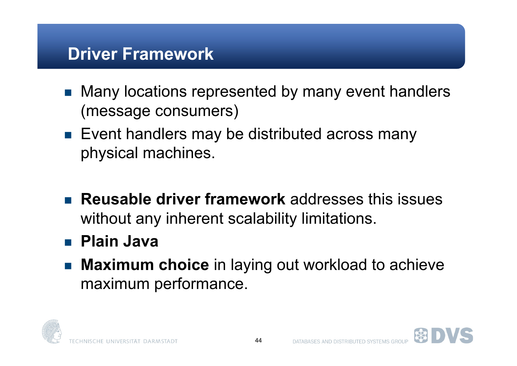#### **Driver Framework**

- Many locations represented by many event handlers (message consumers)
- **Exent handlers may be distributed across many** physical machines.
- **Reusable driver framework** addresses this issues without any inherent scalability limitations.
- **Plain Java**
- Maximum choice in laying out workload to achieve maximum performance.



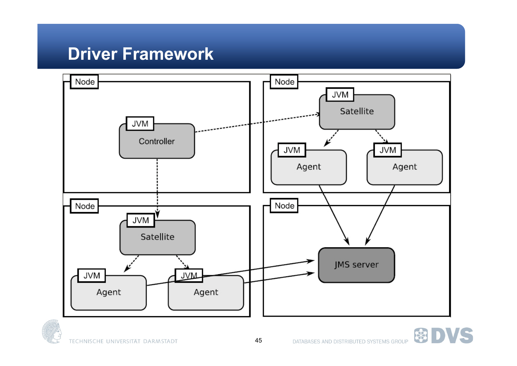#### **Driver Framework**





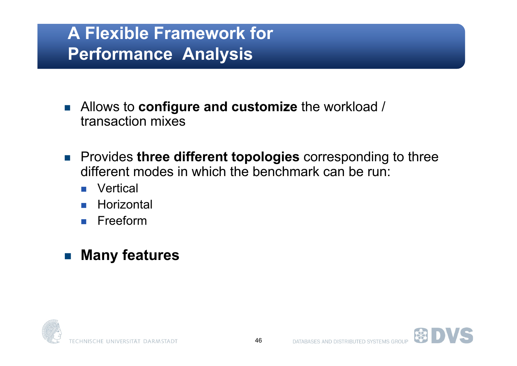#### **A Flexible Framework for Performance Analysis**

- Allows to **configure and customize** the workload / transaction mixes
- Provides **three different topologies** corresponding to three different modes in which the benchmark can be run:
	- Vertical
	- **Horizontal**
	- **Freeform**

#### **Many features**

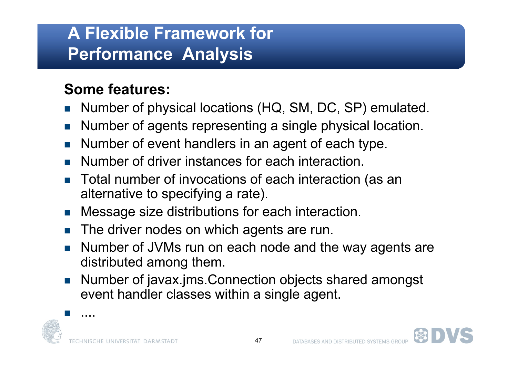#### **A Flexible Framework for Performance Analysis**

#### **Some features:**

- Number of physical locations (HQ, SM, DC, SP) emulated.
- Number of agents representing a single physical location.
- Number of event handlers in an agent of each type.
- Number of driver instances for each interaction.
- Total number of invocations of each interaction (as an alternative to specifying a rate).
- Message size distributions for each interaction.
- The driver nodes on which agents are run.
- Number of JVMs run on each node and the way agents are distributed among them.
- Number of javax.jms.Connection objects shared amongst event handler classes within a single agent.



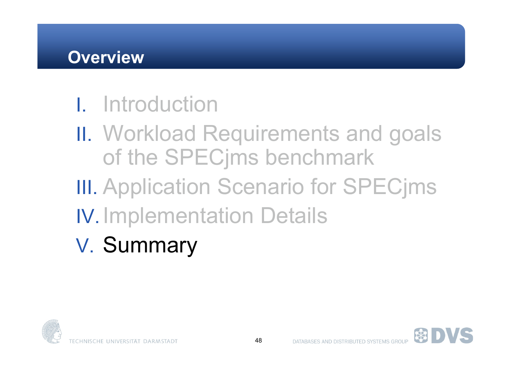#### **Overview**

### I. Introduction

- II. Workload Requirements and goals of the SPECjms benchmark
- **III. Application Scenario for SPECjms**
- IV. Implementation Details
- V. Summary



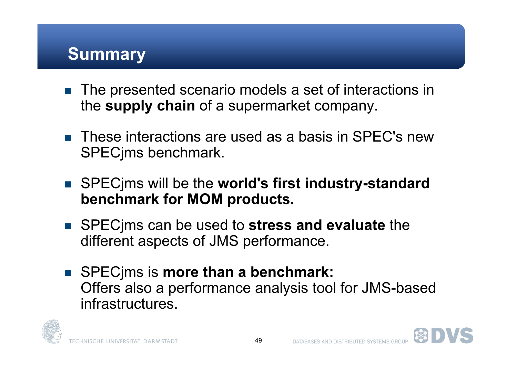#### **Summary**

- The presented scenario models a set of interactions in the **supply chain** of a supermarket company.
- These interactions are used as a basis in SPEC's new SPECjms benchmark.
- SPECjms will be the **world's first industry-standard benchmark for MOM products.**
- SPECjms can be used to **stress and evaluate** the different aspects of JMS performance.
- SPEC ims is **more than a benchmark:** Offers also a performance analysis tool for JMS-based infrastructures.